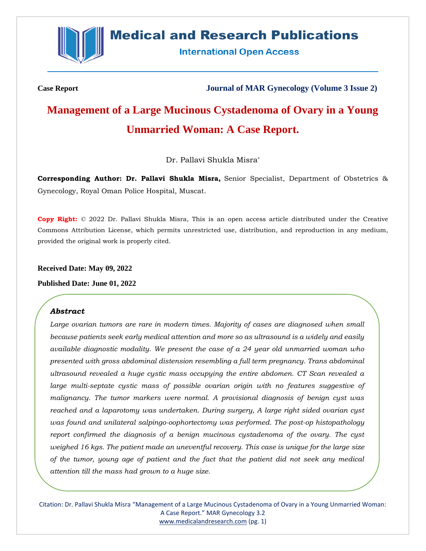

## **Medical and Research Publications**

**International Open Access** 

**Case Report Journal of MAR Gynecology (Volume 3 Issue 2)**

# **Management of a Large Mucinous Cystadenoma of Ovary in a Young Unmarried Woman: A Case Report.**

Dr. Pallavi Shukla Misra\*

**Corresponding Author: Dr. Pallavi Shukla Misra,** Senior Specialist, Department of Obstetrics & Gynecology, Royal Oman Police Hospital, Muscat.

**Copy Right:** © 2022 Dr. Pallavi Shukla Misra, This is an open access article distributed under the Creative Commons Attribution License, which permits unrestricted use, distribution, and reproduction in any medium, provided the original work is properly cited.

**Received Date: May 09, 2022**

**Published Date: June 01, 2022**

#### *Abstract*

Large ovarian tumors are rare in modern times. Majority of cases are diagnosed when small *because patients seek early medical attention and more so as ultrasound is a widely and easily available diagnostic modality. We present the case of a 24 year old unmarried woman who presented with gross abdominal distension resembling a full term pregnancy. Trans abdominal ultrasound revealed a huge cystic mass occupying the entire abdomen. CT Scan revealed a*  large multi-septate cystic mass of possible ovarian origin with no features suggestive of *malignancy. The tumor markers were normal. A provisional diagnosis of benign cyst was reached and a laparotomy was undertaken. During surgery, A large right sided ovarian cyst was found and unilateral salpingo-oophortectomy was performed. The post-op histopathology report confirmed the diagnosis of a benign mucinous cystadenoma of the ovary. The cyst weighed 16 kgs. The patient made an uneventful recovery. This case is unique for the large size of the tumor, young age of patient and the fact that the patient did not seek any medical attention till the mass had grown to a huge size.* 

Citation: Dr. Pallavi Shukla Misra "Management of a Large Mucinous Cystadenoma of Ovary in a Young Unmarried Woman: A Case Report." MAR Gynecology 3.2 [www.medicalandresearch.com](http://www.medicalandresearch.com/) (pg. 1)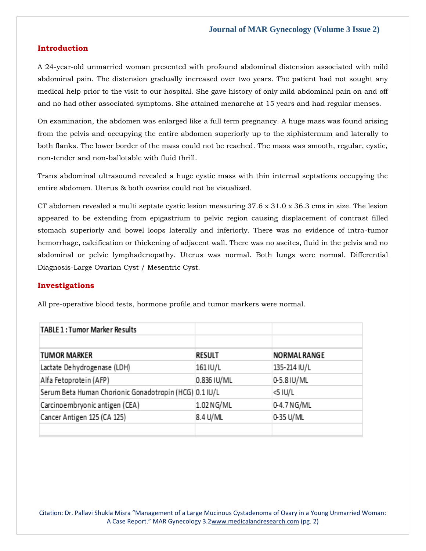#### **Introduction**

A 24-year-old unmarried woman presented with profound abdominal distension associated with mild abdominal pain. The distension gradually increased over two years. The patient had not sought any medical help prior to the visit to our hospital. She gave history of only mild abdominal pain on and off and no had other associated symptoms. She attained menarche at 15 years and had regular menses.

On examination, the abdomen was enlarged like a full term pregnancy. A huge mass was found arising from the pelvis and occupying the entire abdomen superiorly up to the xiphisternum and laterally to both flanks. The lower border of the mass could not be reached. The mass was smooth, regular, cystic, non-tender and non-ballotable with fluid thrill.

Trans abdominal ultrasound revealed a huge cystic mass with thin internal septations occupying the entire abdomen. Uterus & both ovaries could not be visualized.

CT abdomen revealed a multi septate cystic lesion measuring 37.6 x 31.0 x 36.3 cms in size. The lesion appeared to be extending from epigastrium to pelvic region causing displacement of contrast filled stomach superiorly and bowel loops laterally and inferiorly. There was no evidence of intra-tumor hemorrhage, calcification or thickening of adjacent wall. There was no ascites, fluid in the pelvis and no abdominal or pelvic lymphadenopathy. Uterus was normal. Both lungs were normal. Differential Diagnosis-Large Ovarian Cyst / Mesentric Cyst.

#### **Investigations**

All pre-operative blood tests, hormone profile and tumor markers were normal.

| <b>TABLE 1: Tumor Marker Results</b>                   |               |                     |
|--------------------------------------------------------|---------------|---------------------|
| <b>TUMOR MARKER</b>                                    | <b>RESULT</b> | <b>NORMAL RANGE</b> |
| Lactate Dehydrogenase (LDH)                            | 161 IU/L      | 135-214 IU/L        |
| Alfa Fetoprotein (AFP)                                 | 0.836 IU/ML   | 0-5.8 IU/ML         |
| Serum Beta Human Chorionic Gonadotropin (HCG) 0.1 IU/L |               | <5 IU/L             |
| Carcinoembryonic antigen (CEA)                         | 1.02 NG/ML    | 0-4.7 NG/ML         |
| Cancer Antigen 125 (CA 125)                            | 8.4 U/ML      | 0-35 U/ML           |
|                                                        |               |                     |

Citation: Dr. Pallavi Shukla Misra "Management of a Large Mucinous Cystadenoma of Ovary in a Young Unmarried Woman: A Case Report." MAR Gynecology 3.2[www.medicalandresearch.com](http://www.medicalandresearch.com/) (pg. 2)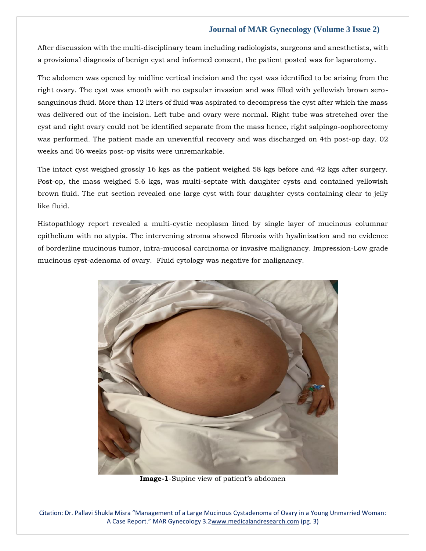#### **Journal of MAR Gynecology (Volume 3 Issue 2)**

After discussion with the multi-disciplinary team including radiologists, surgeons and anesthetists, with a provisional diagnosis of benign cyst and informed consent, the patient posted was for laparotomy.

The abdomen was opened by midline vertical incision and the cyst was identified to be arising from the right ovary. The cyst was smooth with no capsular invasion and was filled with yellowish brown serosanguinous fluid. More than 12 liters of fluid was aspirated to decompress the cyst after which the mass was delivered out of the incision. Left tube and ovary were normal. Right tube was stretched over the cyst and right ovary could not be identified separate from the mass hence, right salpingo-oophorectomy was performed. The patient made an uneventful recovery and was discharged on 4th post-op day. 02 weeks and 06 weeks post-op visits were unremarkable.

The intact cyst weighed grossly 16 kgs as the patient weighed 58 kgs before and 42 kgs after surgery. Post-op, the mass weighed 5.6 kgs, was multi-septate with daughter cysts and contained yellowish brown fluid. The cut section revealed one large cyst with four daughter cysts containing clear to jelly like fluid.

Histopathlogy report revealed a multi-cystic neoplasm lined by single layer of mucinous columnar epithelium with no atypia. The intervening stroma showed fibrosis with hyalinization and no evidence of borderline mucinous tumor, intra-mucosal carcinoma or invasive malignancy. Impression-Low grade mucinous cyst-adenoma of ovary. Fluid cytology was negative for malignancy.



**Image-1**-Supine view of patient's abdomen

Citation: Dr. Pallavi Shukla Misra "Management of a Large Mucinous Cystadenoma of Ovary in a Young Unmarried Woman: A Case Report." MAR Gynecology 3.2[www.medicalandresearch.com](http://www.medicalandresearch.com/) (pg. 3)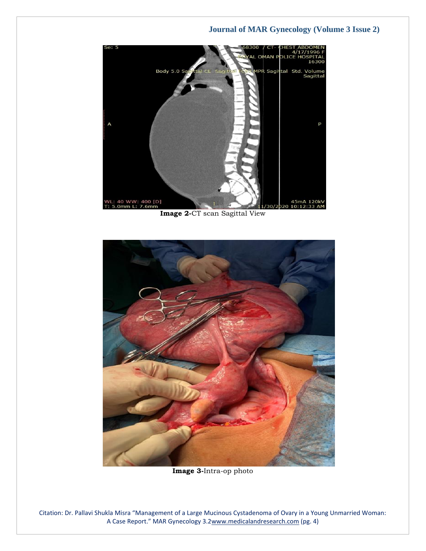### **Journal of MAR Gynecology (Volume 3 Issue 2)**



**Image 2-**CT scan Sagittal View



**Image 3-**Intra-op photo

Citation: Dr. Pallavi Shukla Misra "Management of a Large Mucinous Cystadenoma of Ovary in a Young Unmarried Woman: A Case Report." MAR Gynecology 3.2[www.medicalandresearch.com](http://www.medicalandresearch.com/) (pg. 4)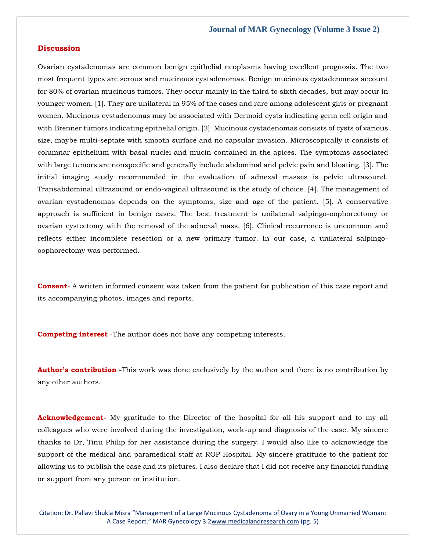#### **Discussion**

Ovarian cystadenomas are common benign epithelial neoplasms having excellent prognosis. The two most frequent types are serous and mucinous cystadenomas. Benign mucinous cystadenomas account for 80% of ovarian mucinous tumors. They occur mainly in the third to sixth decades, but may occur in younger women. [1]. They are unilateral in 95% of the cases and rare among adolescent girls or pregnant women. Mucinous cystadenomas may be associated with Dermoid cysts indicating germ cell origin and with Brenner tumors indicating epithelial origin. [2]. Mucinous cystadenomas consists of cysts of various size, maybe multi-septate with smooth surface and no capsular invasion. Microscopically it consists of columnar epithelium with basal nuclei and mucin contained in the apices. The symptoms associated with large tumors are nonspecific and generally include abdominal and pelvic pain and bloating. [3]. The initial imaging study recommended in the evaluation of adnexal masses is pelvic ultrasound. Transabdominal ultrasound or endo-vaginal ultrasound is the study of choice. [4]. The management of ovarian cystadenomas depends on the symptoms, size and age of the patient. [5]. A conservative approach is sufficient in benign cases. The best treatment is unilateral salpingo-oophorectomy or ovarian cystectomy with the removal of the adnexal mass. [6]. Clinical recurrence is uncommon and reflects either incomplete resection or a new primary tumor. In our case, a unilateral salpingooophorectomy was performed.

**Consent**- A written informed consent was taken from the patient for publication of this case report and its accompanying photos, images and reports.

**Competing interest** -The author does not have any competing interests.

**Author's contribution** -This work was done exclusively by the author and there is no contribution by any other authors.

**Acknowledgement-** My gratitude to the Director of the hospital for all his support and to my all colleagues who were involved during the investigation, work-up and diagnosis of the case. My sincere thanks to Dr, Tinu Philip for her assistance during the surgery. I would also like to acknowledge the support of the medical and paramedical staff at ROP Hospital. My sincere gratitude to the patient for allowing us to publish the case and its pictures. I also declare that I did not receive any financial funding or support from any person or institution.

Citation: Dr. Pallavi Shukla Misra "Management of a Large Mucinous Cystadenoma of Ovary in a Young Unmarried Woman: A Case Report." MAR Gynecology 3.2[www.medicalandresearch.com](http://www.medicalandresearch.com/) (pg. 5)